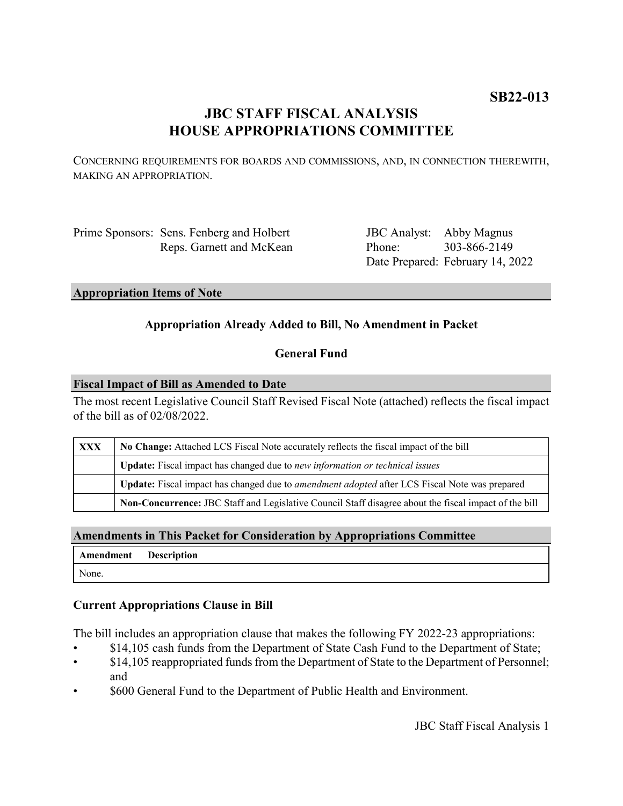# **JBC STAFF FISCAL ANALYSIS HOUSE APPROPRIATIONS COMMITTEE**

CONCERNING REQUIREMENTS FOR BOARDS AND COMMISSIONS, AND, IN CONNECTION THEREWITH, MAKING AN APPROPRIATION.

Prime Sponsors: Sens. Fenberg and Holbert Reps. Garnett and McKean

JBC Analyst: Abby Magnus Phone: Date Prepared: February 14, 2022 303-866-2149

### **Appropriation Items of Note**

## **Appropriation Already Added to Bill, No Amendment in Packet**

## **General Fund**

#### **Fiscal Impact of Bill as Amended to Date**

The most recent Legislative Council Staff Revised Fiscal Note (attached) reflects the fiscal impact of the bill as of 02/08/2022.

| <b>XXX</b> | No Change: Attached LCS Fiscal Note accurately reflects the fiscal impact of the bill                 |
|------------|-------------------------------------------------------------------------------------------------------|
|            | <b>Update:</b> Fiscal impact has changed due to new information or technical issues                   |
|            | Update: Fiscal impact has changed due to <i>amendment adopted</i> after LCS Fiscal Note was prepared  |
|            | Non-Concurrence: JBC Staff and Legislative Council Staff disagree about the fiscal impact of the bill |

## **Amendments in This Packet for Consideration by Appropriations Committee**

|       | Amendment Description |
|-------|-----------------------|
| None. |                       |

### **Current Appropriations Clause in Bill**

The bill includes an appropriation clause that makes the following FY 2022-23 appropriations:

- \$14,105 cash funds from the Department of State Cash Fund to the Department of State;
- $$14,105$  reappropriated funds from the Department of State to the Department of Personnel; and
- \$600 General Fund to the Department of Public Health and Environment.